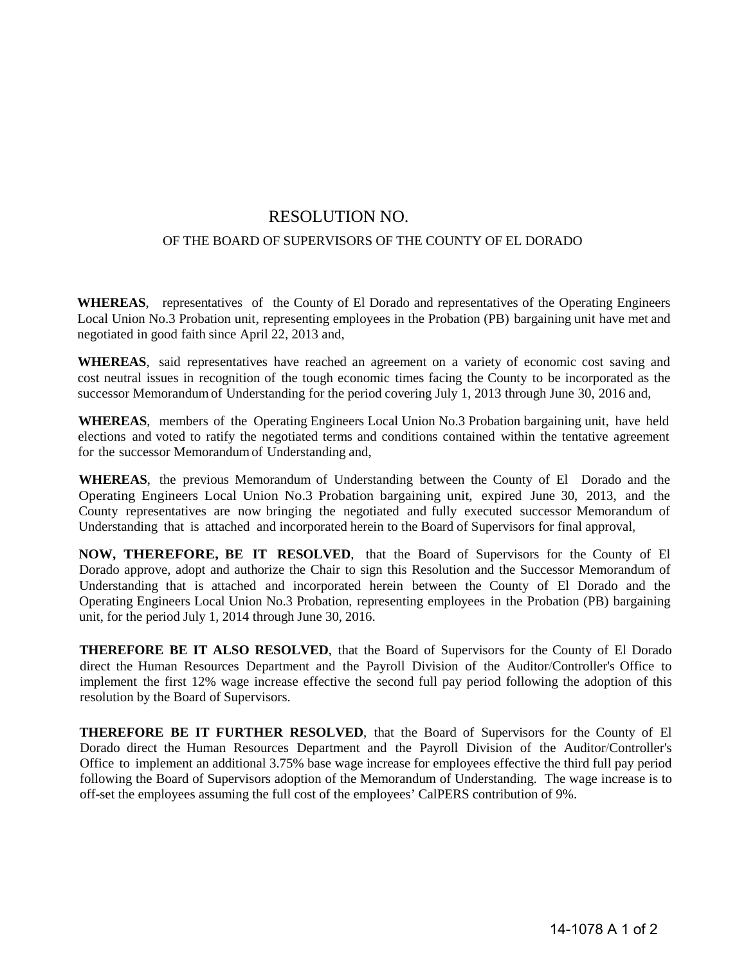## RESOLUTION NO.

## OF THE BOARD OF SUPERVISORS OF THE COUNTY OF EL DORADO

**WHEREAS**, representatives of the County of El Dorado and representatives of the Operating Engineers Local Union No.3 Probation unit, representing employees in the Probation (PB) bargaining unit have met and negotiated in good faith since April 22, 2013 and,

**WHEREAS**, said representatives have reached an agreement on a variety of economic cost saving and cost neutral issues in recognition of the tough economic times facing the County to be incorporated as the successor Memorandum of Understanding for the period covering July 1, 2013 through June 30, 2016 and,

**WHEREAS**, members of the Operating Engineers Local Union No.3 Probation bargaining unit, have held elections and voted to ratify the negotiated terms and conditions contained within the tentative agreement for the successor Memorandum of Understanding and,

**WHEREAS**, the previous Memorandum of Understanding between the County of El Dorado and the Operating Engineers Local Union No.3 Probation bargaining unit, expired June 30, 2013, and the County representatives are now bringing the negotiated and fully executed successor Memorandum of Understanding that is attached and incorporated herein to the Board of Supervisors for final approval,

**NOW, THEREFORE, BE IT RESOLVED**, that the Board of Supervisors for the County of El Dorado approve, adopt and authorize the Chair to sign this Resolution and the Successor Memorandum of Understanding that is attached and incorporated herein between the County of El Dorado and the Operating Engineers Local Union No.3 Probation, representing employees in the Probation (PB) bargaining unit, for the period July 1, 2014 through June 30, 2016.

**THEREFORE BE IT ALSO RESOLVED**, that the Board of Supervisors for the County of El Dorado direct the Human Resources Department and the Payroll Division of the Auditor/Controller's Office to implement the first 12% wage increase effective the second full pay period following the adoption of this resolution by the Board of Supervisors.

**THEREFORE BE IT FURTHER RESOLVED**, that the Board of Supervisors for the County of El Dorado direct the Human Resources Department and the Payroll Division of the Auditor/Controller's Office to implement an additional 3.75% base wage increase for employees effective the third full pay period following the Board of Supervisors adoption of the Memorandum of Understanding. The wage increase is to off-set the employees assuming the full cost of the employees' CalPERS contribution of 9%.